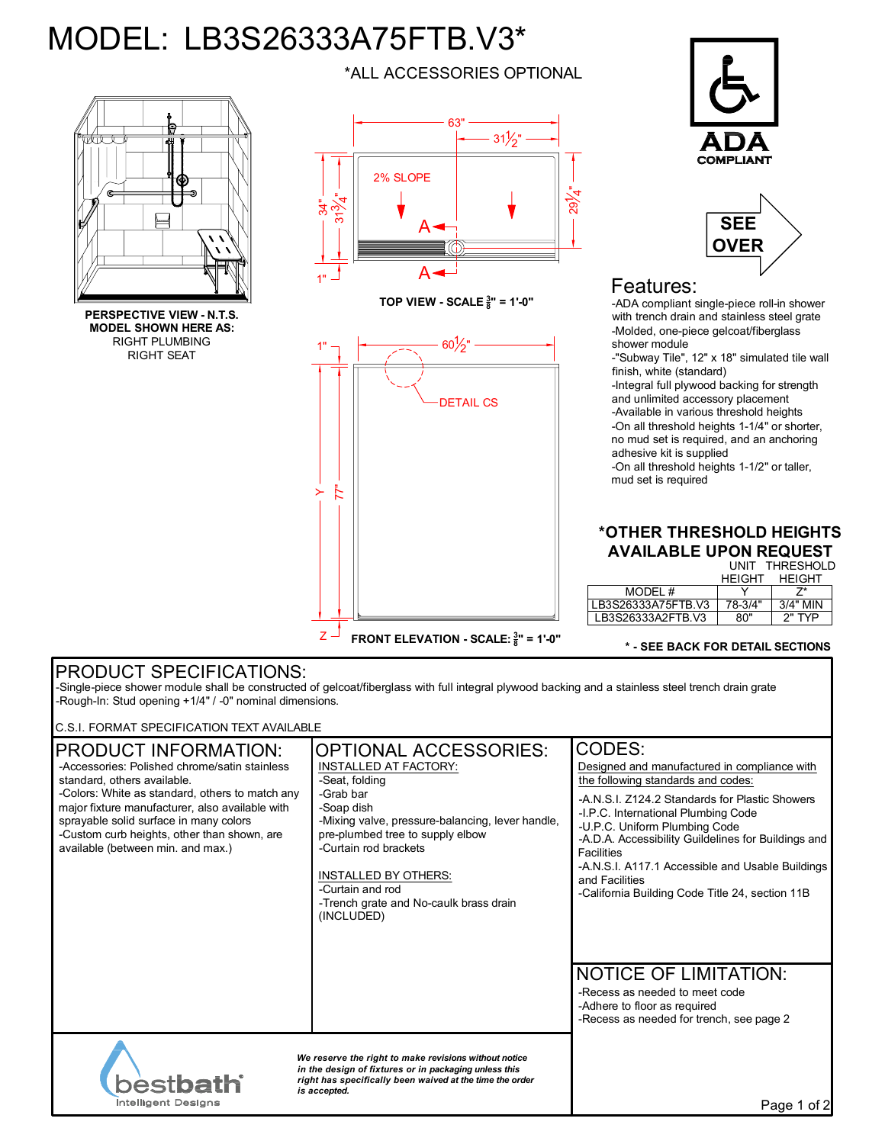# MODEL: LB3S26333A75FTB.V3\*



**PERSPECTIVE VIEW - N.T.S. MODEL SHOWN HERE AS:** RIGHT PLUMBING RIGHT SEAT

\*ALL ACCESSORIES OPTIONAL



**TOP VIEW - SCALE <sup>3</sup> 8 " = 1'-0"**







## Features:

-ADA compliant single-piece roll-in shower with trench drain and stainless steel grate -Molded, one-piece gelcoat/fiberglass shower module

-"Subway Tile", 12" x 18" simulated tile wall finish, white (standard)

-Integral full plywood backing for strength and unlimited accessory placement -Available in various threshold heights -On all threshold heights 1-1/4" or shorter, no mud set is required, and an anchoring adhesive kit is supplied

-On all threshold heights 1-1/2" or taller, mud set is required

### UNIT THRESHOLD **\*OTHER THRESHOLD HEIGHTS AVAILABLE UPON REQUEST**

|    |  |  | .             |
|----|--|--|---------------|
| łΤ |  |  | <b>HEIGHT</b> |

|                    | HFIGHT  | HFIGHT     |
|--------------------|---------|------------|
| MODEL#             |         |            |
| LB3S26333A75FTB.V3 | 78-3/4" | $3/4"$ MIN |
| LB3S26333A2FTB.V3  | 80"     | $2"$ TYP   |

#### **\* - SEE BACK FOR DETAIL SECTIONS**

## PRODUCT SPECIFICATIONS:

-Single-piece shower module shall be constructed of gelcoat/fiberglass with full integral plywood backing and a stainless steel trench drain grate -Rough-In: Stud opening +1/4" / -0" nominal dimensions.

C.S.I. FORMAT SPECIFICATION TEXT AVAILABLE